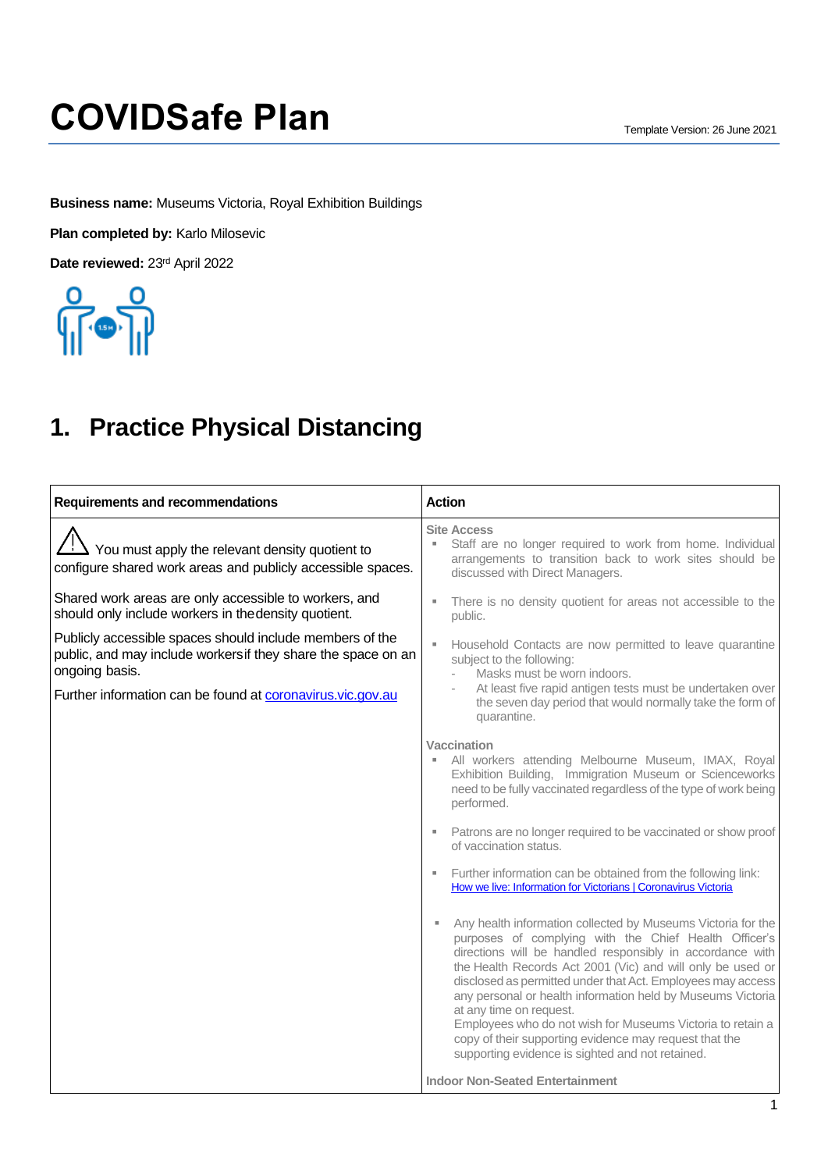**Business name:** Museums Victoria, Royal Exhibition Buildings

**Plan completed by:** Karlo Milosevic

Date reviewed: 23<sup>rd</sup> April 2022



### **1. Practice Physical Distancing**

| <b>Requirements and recommendations</b>                                                                                                                                                                  | <b>Action</b>                                                                                                                                                                                                                                                                                                                                                                                                                                                                                                                                                                              |
|----------------------------------------------------------------------------------------------------------------------------------------------------------------------------------------------------------|--------------------------------------------------------------------------------------------------------------------------------------------------------------------------------------------------------------------------------------------------------------------------------------------------------------------------------------------------------------------------------------------------------------------------------------------------------------------------------------------------------------------------------------------------------------------------------------------|
| $'$ ! You must apply the relevant density quotient to<br>configure shared work areas and publicly accessible spaces.                                                                                     | <b>Site Access</b><br>Staff are no longer required to work from home. Individual<br>arrangements to transition back to work sites should be<br>discussed with Direct Managers.                                                                                                                                                                                                                                                                                                                                                                                                             |
| Shared work areas are only accessible to workers, and<br>should only include workers in thedensity quotient.                                                                                             | There is no density quotient for areas not accessible to the<br>public.                                                                                                                                                                                                                                                                                                                                                                                                                                                                                                                    |
| Publicly accessible spaces should include members of the<br>public, and may include workersif they share the space on an<br>ongoing basis.<br>Further information can be found at coronavirus.vic.gov.au | Household Contacts are now permitted to leave quarantine<br>subject to the following:<br>Masks must be worn indoors.<br>At least five rapid antigen tests must be undertaken over<br>the seven day period that would normally take the form of<br>quarantine.                                                                                                                                                                                                                                                                                                                              |
|                                                                                                                                                                                                          | <b>Vaccination</b><br>All workers attending Melbourne Museum, IMAX, Royal<br>Exhibition Building, Immigration Museum or Scienceworks<br>need to be fully vaccinated regardless of the type of work being<br>performed.                                                                                                                                                                                                                                                                                                                                                                     |
|                                                                                                                                                                                                          | Patrons are no longer required to be vaccinated or show proof<br>ш<br>of vaccination status.                                                                                                                                                                                                                                                                                                                                                                                                                                                                                               |
|                                                                                                                                                                                                          | Further information can be obtained from the following link:<br>How we live: Information for Victorians   Coronavirus Victoria                                                                                                                                                                                                                                                                                                                                                                                                                                                             |
|                                                                                                                                                                                                          | Any health information collected by Museums Victoria for the<br>×<br>purposes of complying with the Chief Health Officer's<br>directions will be handled responsibly in accordance with<br>the Health Records Act 2001 (Vic) and will only be used or<br>disclosed as permitted under that Act. Employees may access<br>any personal or health information held by Museums Victoria<br>at any time on request.<br>Employees who do not wish for Museums Victoria to retain a<br>copy of their supporting evidence may request that the<br>supporting evidence is sighted and not retained. |
|                                                                                                                                                                                                          | <b>Indoor Non-Seated Entertainment</b>                                                                                                                                                                                                                                                                                                                                                                                                                                                                                                                                                     |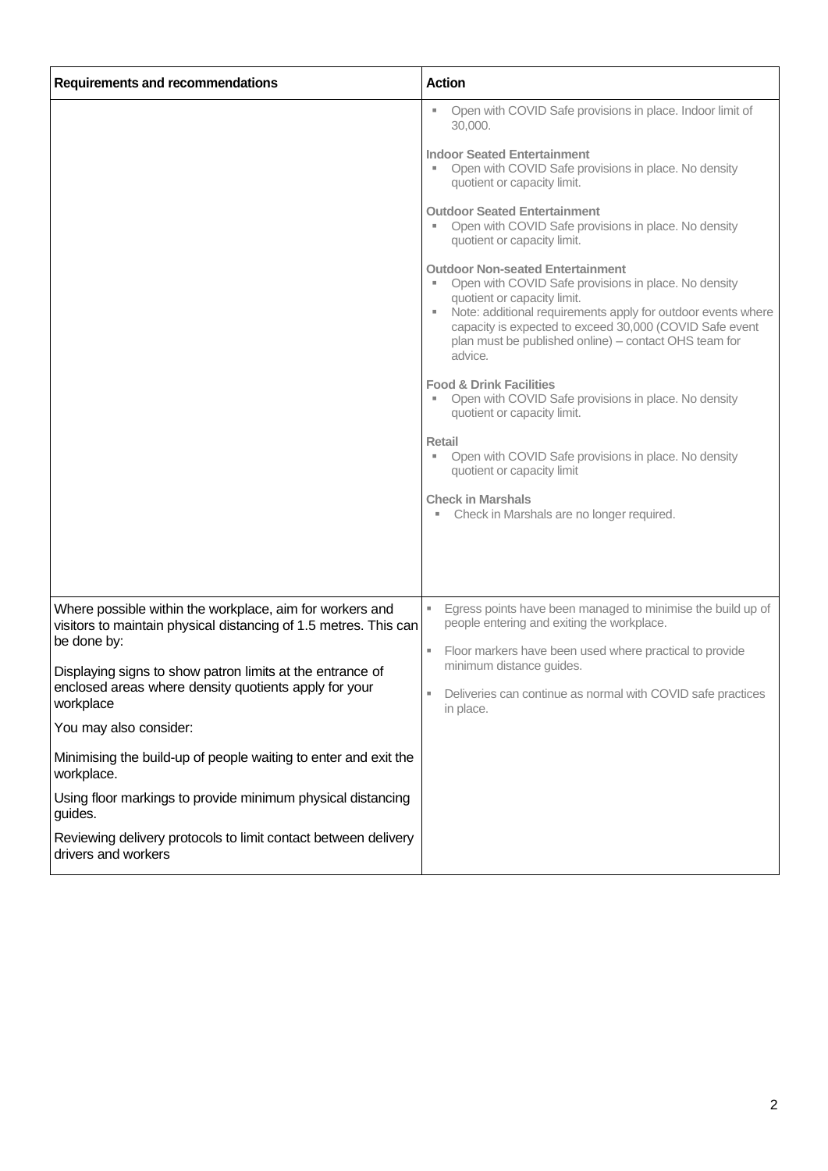| <b>Requirements and recommendations</b>                                                                                         | <b>Action</b>                                                                                                                                                                                                                                                                                                                      |
|---------------------------------------------------------------------------------------------------------------------------------|------------------------------------------------------------------------------------------------------------------------------------------------------------------------------------------------------------------------------------------------------------------------------------------------------------------------------------|
|                                                                                                                                 | Open with COVID Safe provisions in place. Indoor limit of<br>30,000.                                                                                                                                                                                                                                                               |
|                                                                                                                                 | <b>Indoor Seated Entertainment</b><br>Open with COVID Safe provisions in place. No density<br>quotient or capacity limit.                                                                                                                                                                                                          |
|                                                                                                                                 | <b>Outdoor Seated Entertainment</b><br>Open with COVID Safe provisions in place. No density<br>quotient or capacity limit.                                                                                                                                                                                                         |
|                                                                                                                                 | <b>Outdoor Non-seated Entertainment</b><br>Open with COVID Safe provisions in place. No density<br>quotient or capacity limit.<br>Note: additional requirements apply for outdoor events where<br>ш<br>capacity is expected to exceed 30,000 (COVID Safe event<br>plan must be published online) – contact OHS team for<br>advice. |
|                                                                                                                                 | <b>Food &amp; Drink Facilities</b><br>Open with COVID Safe provisions in place. No density<br>quotient or capacity limit.                                                                                                                                                                                                          |
|                                                                                                                                 | <b>Retail</b><br>Open with COVID Safe provisions in place. No density<br>quotient or capacity limit                                                                                                                                                                                                                                |
|                                                                                                                                 | <b>Check in Marshals</b><br>Check in Marshals are no longer required.<br>×,                                                                                                                                                                                                                                                        |
|                                                                                                                                 |                                                                                                                                                                                                                                                                                                                                    |
| Where possible within the workplace, aim for workers and<br>visitors to maintain physical distancing of 1.5 metres. This can    | Egress points have been managed to minimise the build up of<br>people entering and exiting the workplace.                                                                                                                                                                                                                          |
| be done by:                                                                                                                     | Floor markers have been used where practical to provide<br>٠<br>minimum distance guides.                                                                                                                                                                                                                                           |
| Displaying signs to show patron limits at the entrance of<br>enclosed areas where density quotients apply for your<br>workplace | Deliveries can continue as normal with COVID safe practices<br>in place.                                                                                                                                                                                                                                                           |
| You may also consider:                                                                                                          |                                                                                                                                                                                                                                                                                                                                    |
| Minimising the build-up of people waiting to enter and exit the<br>workplace.                                                   |                                                                                                                                                                                                                                                                                                                                    |
| Using floor markings to provide minimum physical distancing<br>guides.                                                          |                                                                                                                                                                                                                                                                                                                                    |
| Reviewing delivery protocols to limit contact between delivery<br>drivers and workers                                           |                                                                                                                                                                                                                                                                                                                                    |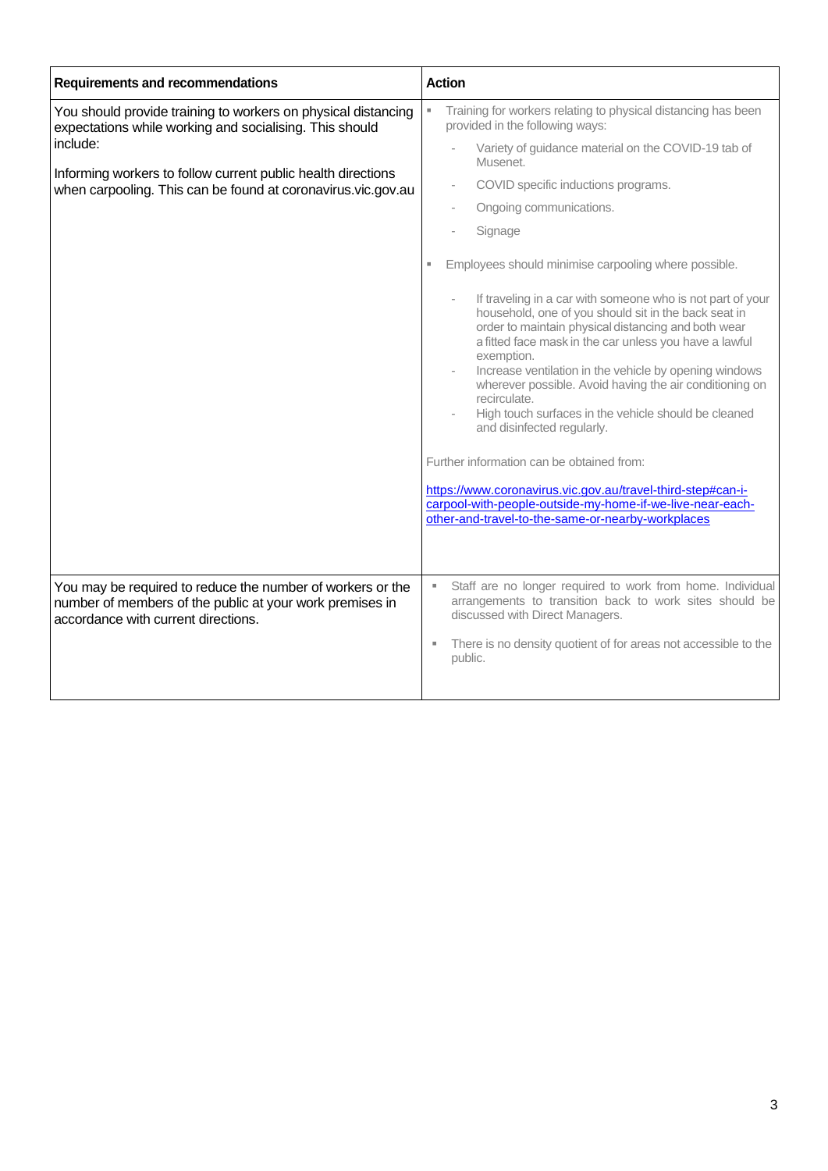| <b>Requirements and recommendations</b>                                                                                                                       | <b>Action</b>                                                                                                                                                                                                                                                                                                                                                                                                                                                                                                                                                                                                                                         |
|---------------------------------------------------------------------------------------------------------------------------------------------------------------|-------------------------------------------------------------------------------------------------------------------------------------------------------------------------------------------------------------------------------------------------------------------------------------------------------------------------------------------------------------------------------------------------------------------------------------------------------------------------------------------------------------------------------------------------------------------------------------------------------------------------------------------------------|
| You should provide training to workers on physical distancing<br>expectations while working and socialising. This should                                      | Training for workers relating to physical distancing has been<br>provided in the following ways:                                                                                                                                                                                                                                                                                                                                                                                                                                                                                                                                                      |
| include:                                                                                                                                                      | Variety of guidance material on the COVID-19 tab of<br>Musenet.                                                                                                                                                                                                                                                                                                                                                                                                                                                                                                                                                                                       |
| Informing workers to follow current public health directions<br>when carpooling. This can be found at coronavirus.vic.gov.au                                  | COVID specific inductions programs.                                                                                                                                                                                                                                                                                                                                                                                                                                                                                                                                                                                                                   |
|                                                                                                                                                               | Ongoing communications.                                                                                                                                                                                                                                                                                                                                                                                                                                                                                                                                                                                                                               |
|                                                                                                                                                               | Signage                                                                                                                                                                                                                                                                                                                                                                                                                                                                                                                                                                                                                                               |
|                                                                                                                                                               | Employees should minimise carpooling where possible.<br>$\blacksquare$                                                                                                                                                                                                                                                                                                                                                                                                                                                                                                                                                                                |
|                                                                                                                                                               | If traveling in a car with someone who is not part of your<br>household, one of you should sit in the back seat in<br>order to maintain physical distancing and both wear<br>a fitted face mask in the car unless you have a lawful<br>exemption.<br>Increase ventilation in the vehicle by opening windows<br>wherever possible. Avoid having the air conditioning on<br>recirculate.<br>High touch surfaces in the vehicle should be cleaned<br>and disinfected regularly.<br>Further information can be obtained from:<br>https://www.coronavirus.vic.gov.au/travel-third-step#can-i-<br>carpool-with-people-outside-my-home-if-we-live-near-each- |
|                                                                                                                                                               | other-and-travel-to-the-same-or-nearby-workplaces                                                                                                                                                                                                                                                                                                                                                                                                                                                                                                                                                                                                     |
|                                                                                                                                                               |                                                                                                                                                                                                                                                                                                                                                                                                                                                                                                                                                                                                                                                       |
| You may be required to reduce the number of workers or the<br>number of members of the public at your work premises in<br>accordance with current directions. | Staff are no longer required to work from home. Individual<br>×,<br>arrangements to transition back to work sites should be<br>discussed with Direct Managers.<br>There is no density quotient of for areas not accessible to the<br>×.<br>public.                                                                                                                                                                                                                                                                                                                                                                                                    |
|                                                                                                                                                               |                                                                                                                                                                                                                                                                                                                                                                                                                                                                                                                                                                                                                                                       |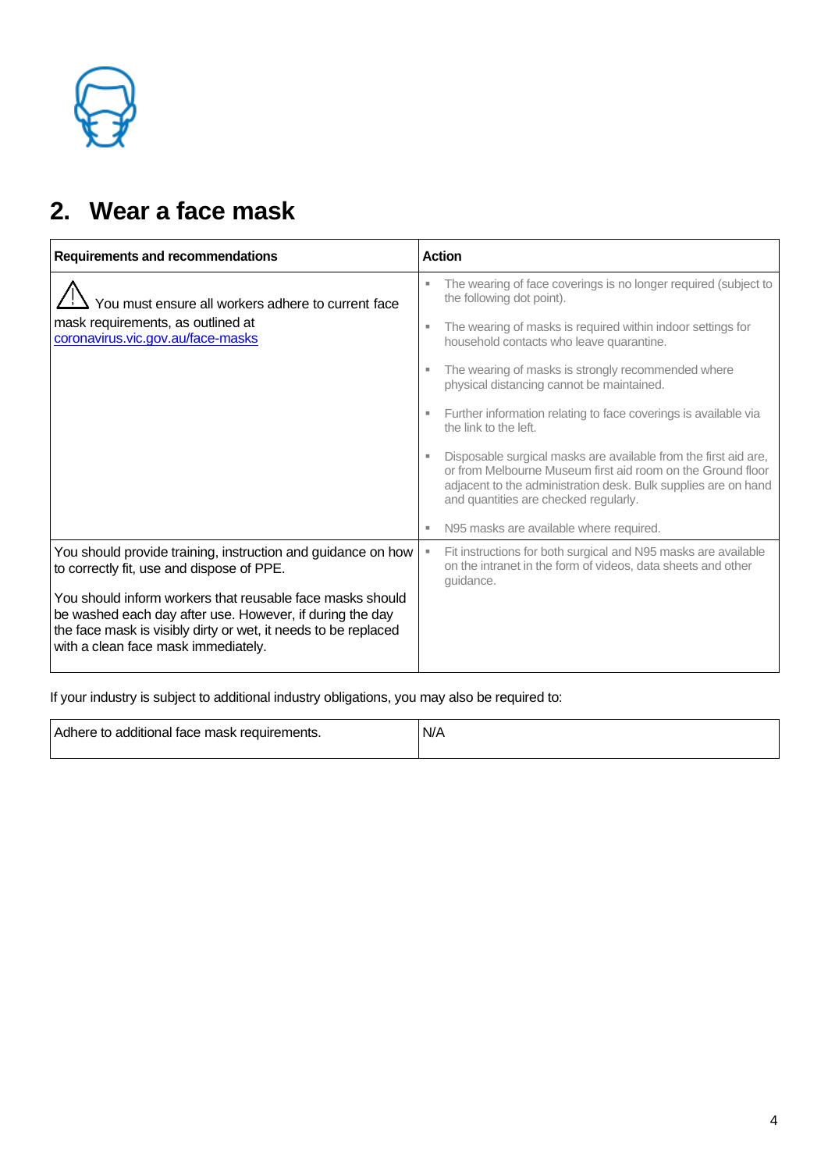

## **2. Wear a face mask**

| <b>Requirements and recommendations</b>                                                                                                                                                                                        | <b>Action</b>                                                                                                                                                                                                                             |
|--------------------------------------------------------------------------------------------------------------------------------------------------------------------------------------------------------------------------------|-------------------------------------------------------------------------------------------------------------------------------------------------------------------------------------------------------------------------------------------|
| You must ensure all workers adhere to current face                                                                                                                                                                             | The wearing of face coverings is no longer required (subject to<br>the following dot point).                                                                                                                                              |
| mask requirements, as outlined at<br>coronavirus.vic.gov.au/face-masks                                                                                                                                                         | The wearing of masks is required within indoor settings for<br>л<br>household contacts who leave quarantine.                                                                                                                              |
|                                                                                                                                                                                                                                | The wearing of masks is strongly recommended where<br>physical distancing cannot be maintained.                                                                                                                                           |
|                                                                                                                                                                                                                                | Further information relating to face coverings is available via<br>the link to the left.                                                                                                                                                  |
|                                                                                                                                                                                                                                | Disposable surgical masks are available from the first aid are,<br>or from Melbourne Museum first aid room on the Ground floor<br>adjacent to the administration desk. Bulk supplies are on hand<br>and quantities are checked regularly. |
|                                                                                                                                                                                                                                | N95 masks are available where required.                                                                                                                                                                                                   |
| You should provide training, instruction and guidance on how<br>to correctly fit, use and dispose of PPE.                                                                                                                      | Fit instructions for both surgical and N95 masks are available<br>on the intranet in the form of videos, data sheets and other<br>guidance.                                                                                               |
| You should inform workers that reusable face masks should<br>be washed each day after use. However, if during the day<br>the face mask is visibly dirty or wet, it needs to be replaced<br>with a clean face mask immediately. |                                                                                                                                                                                                                                           |

If your industry is subject to additional industry obligations, you may also be required to:

| Adhere to additional face mask requirements. | N/A |
|----------------------------------------------|-----|
|                                              |     |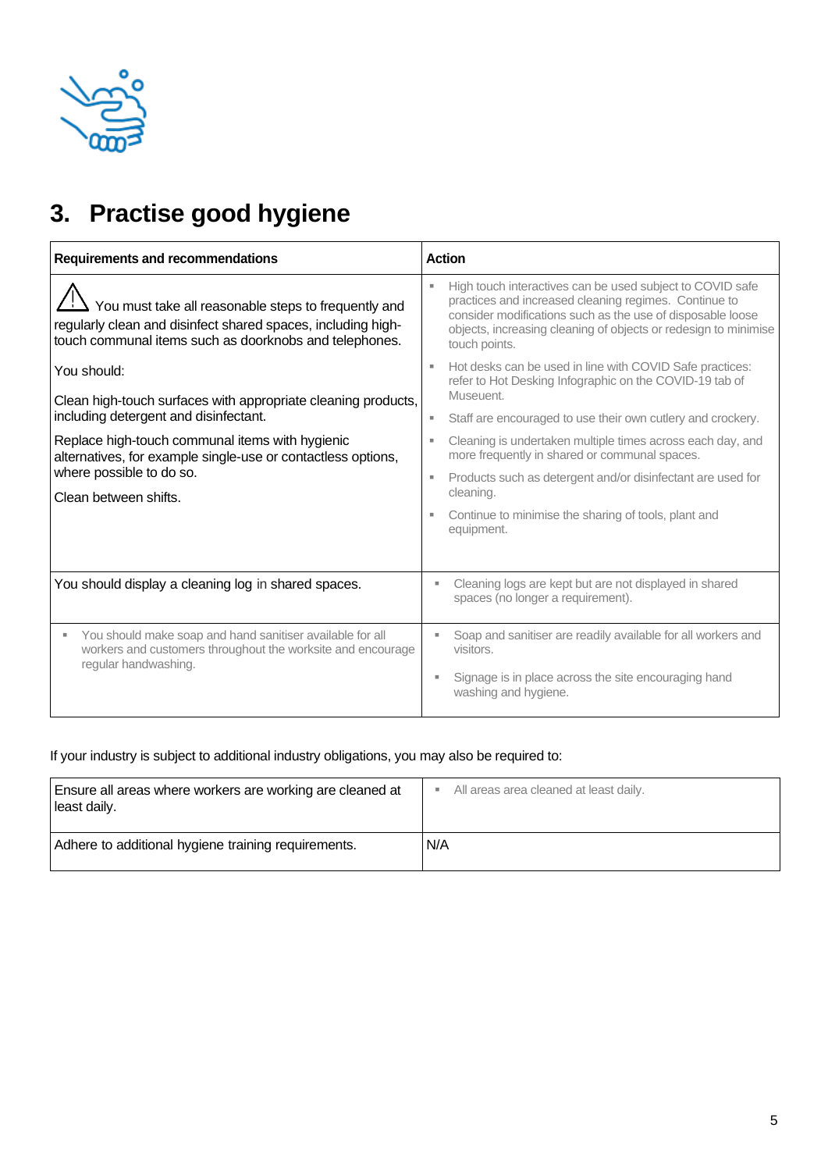

# **3. Practise good hygiene**

| <b>Requirements and recommendations</b>                                                                                                                                                                                                  | <b>Action</b>                                                                                                                                                                                                                                                                                                  |
|------------------------------------------------------------------------------------------------------------------------------------------------------------------------------------------------------------------------------------------|----------------------------------------------------------------------------------------------------------------------------------------------------------------------------------------------------------------------------------------------------------------------------------------------------------------|
| You must take all reasonable steps to frequently and<br>regularly clean and disinfect shared spaces, including high-<br>touch communal items such as doorknobs and telephones.                                                           | High touch interactives can be used subject to COVID safe<br>practices and increased cleaning regimes. Continue to<br>consider modifications such as the use of disposable loose<br>objects, increasing cleaning of objects or redesign to minimise<br>touch points.                                           |
| You should:<br>Clean high-touch surfaces with appropriate cleaning products,<br>including detergent and disinfectant.<br>Replace high-touch communal items with hygienic<br>alternatives, for example single-use or contactless options, | Hot desks can be used in line with COVID Safe practices:<br>refer to Hot Desking Infographic on the COVID-19 tab of<br>Museuent.<br>Staff are encouraged to use their own cutlery and crockery.<br>Cleaning is undertaken multiple times across each day, and<br>more frequently in shared or communal spaces. |
| where possible to do so.<br>Clean between shifts.                                                                                                                                                                                        | Products such as detergent and/or disinfectant are used for<br>cleaning.<br>Continue to minimise the sharing of tools, plant and<br>equipment.                                                                                                                                                                 |
| You should display a cleaning log in shared spaces.                                                                                                                                                                                      | Cleaning logs are kept but are not displayed in shared<br>spaces (no longer a requirement).                                                                                                                                                                                                                    |
| You should make soap and hand sanitiser available for all<br>workers and customers throughout the worksite and encourage<br>regular handwashing.                                                                                         | Soap and sanitiser are readily available for all workers and<br>visitors.<br>Signage is in place across the site encouraging hand<br>٠<br>washing and hygiene.                                                                                                                                                 |

#### If your industry is subject to additional industry obligations, you may also be required to:

| Ensure all areas where workers are working are cleaned at<br>least daily. | All areas area cleaned at least daily. |
|---------------------------------------------------------------------------|----------------------------------------|
| Adhere to additional hygiene training requirements.                       | N/A                                    |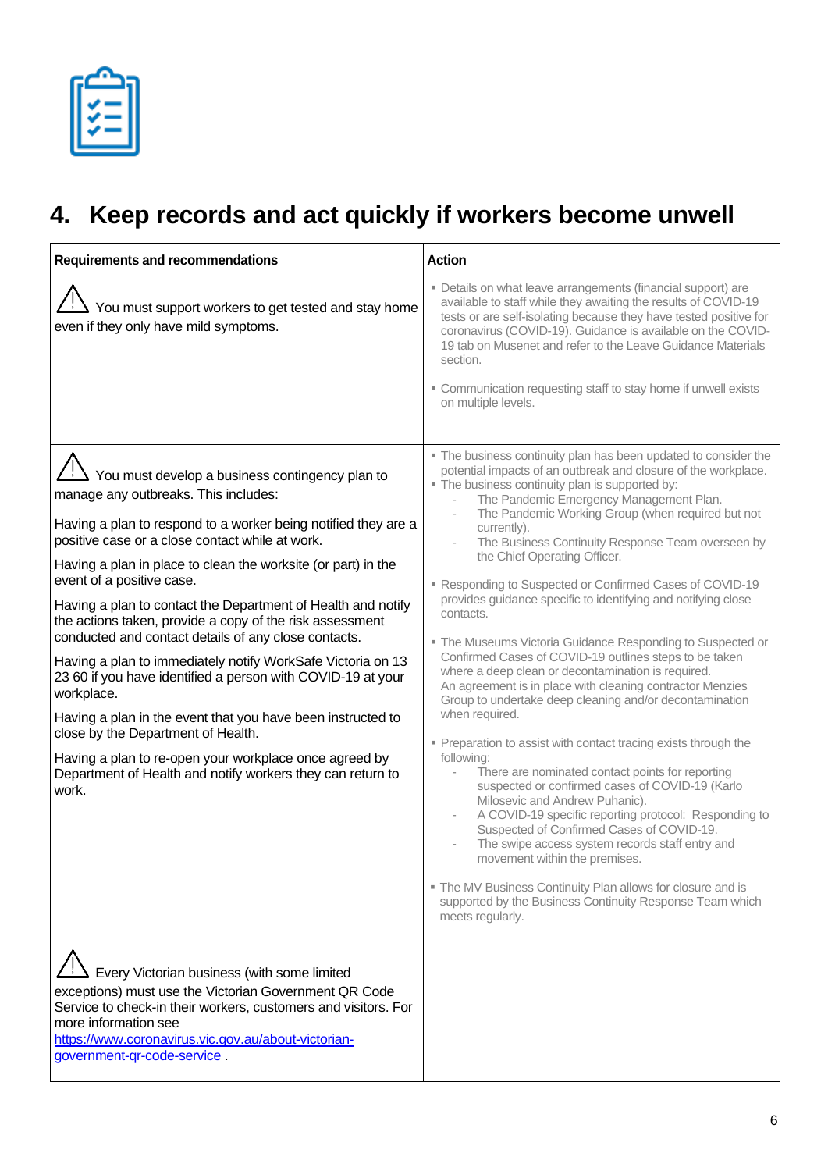# **4. Keep records and act quickly if workers become unwell**

| <b>Requirements and recommendations</b>                                                                                                                                                                                                                                                                                                                                                                                                                                                                                                                                                                                                                                                                                                                                                                                                                                                 | <b>Action</b>                                                                                                                                                                                                                                                                                                                                                                                                                                                                                                                                                                                                                                                                                                                                                                                                                                                                                                                                                                                                                                                                                                                                                                                                                                                                                                                                                                                                               |
|-----------------------------------------------------------------------------------------------------------------------------------------------------------------------------------------------------------------------------------------------------------------------------------------------------------------------------------------------------------------------------------------------------------------------------------------------------------------------------------------------------------------------------------------------------------------------------------------------------------------------------------------------------------------------------------------------------------------------------------------------------------------------------------------------------------------------------------------------------------------------------------------|-----------------------------------------------------------------------------------------------------------------------------------------------------------------------------------------------------------------------------------------------------------------------------------------------------------------------------------------------------------------------------------------------------------------------------------------------------------------------------------------------------------------------------------------------------------------------------------------------------------------------------------------------------------------------------------------------------------------------------------------------------------------------------------------------------------------------------------------------------------------------------------------------------------------------------------------------------------------------------------------------------------------------------------------------------------------------------------------------------------------------------------------------------------------------------------------------------------------------------------------------------------------------------------------------------------------------------------------------------------------------------------------------------------------------------|
| You must support workers to get tested and stay home<br>even if they only have mild symptoms.                                                                                                                                                                                                                                                                                                                                                                                                                                                                                                                                                                                                                                                                                                                                                                                           | • Details on what leave arrangements (financial support) are<br>available to staff while they awaiting the results of COVID-19<br>tests or are self-isolating because they have tested positive for<br>coronavirus (COVID-19). Guidance is available on the COVID-<br>19 tab on Musenet and refer to the Leave Guidance Materials<br>section.<br>" Communication requesting staff to stay home if unwell exists<br>on multiple levels.                                                                                                                                                                                                                                                                                                                                                                                                                                                                                                                                                                                                                                                                                                                                                                                                                                                                                                                                                                                      |
| $\Box$ You must develop a business contingency plan to<br>manage any outbreaks. This includes:<br>Having a plan to respond to a worker being notified they are a<br>positive case or a close contact while at work.<br>Having a plan in place to clean the worksite (or part) in the<br>event of a positive case.<br>Having a plan to contact the Department of Health and notify<br>the actions taken, provide a copy of the risk assessment<br>conducted and contact details of any close contacts.<br>Having a plan to immediately notify WorkSafe Victoria on 13<br>23 60 if you have identified a person with COVID-19 at your<br>workplace.<br>Having a plan in the event that you have been instructed to<br>close by the Department of Health.<br>Having a plan to re-open your workplace once agreed by<br>Department of Health and notify workers they can return to<br>work. | " The business continuity plan has been updated to consider the<br>potential impacts of an outbreak and closure of the workplace.<br>. The business continuity plan is supported by:<br>The Pandemic Emergency Management Plan.<br>The Pandemic Working Group (when required but not<br>currently).<br>The Business Continuity Response Team overseen by<br>the Chief Operating Officer.<br>Responding to Suspected or Confirmed Cases of COVID-19<br>provides guidance specific to identifying and notifying close<br>contacts.<br>" The Museums Victoria Guidance Responding to Suspected or<br>Confirmed Cases of COVID-19 outlines steps to be taken<br>where a deep clean or decontamination is required.<br>An agreement is in place with cleaning contractor Menzies<br>Group to undertake deep cleaning and/or decontamination<br>when required.<br>• Preparation to assist with contact tracing exists through the<br>following:<br>There are nominated contact points for reporting<br>suspected or confirmed cases of COVID-19 (Karlo<br>Milosevic and Andrew Puhanic).<br>A COVID-19 specific reporting protocol: Responding to<br>Suspected of Confirmed Cases of COVID-19.<br>The swipe access system records staff entry and<br>movement within the premises.<br>. The MV Business Continuity Plan allows for closure and is<br>supported by the Business Continuity Response Team which<br>meets regularly. |
| Every Victorian business (with some limited<br>exceptions) must use the Victorian Government QR Code<br>Service to check-in their workers, customers and visitors. For<br>more information see<br>https://www.coronavirus.vic.gov.au/about-victorian-<br>government-gr-code-service.                                                                                                                                                                                                                                                                                                                                                                                                                                                                                                                                                                                                    |                                                                                                                                                                                                                                                                                                                                                                                                                                                                                                                                                                                                                                                                                                                                                                                                                                                                                                                                                                                                                                                                                                                                                                                                                                                                                                                                                                                                                             |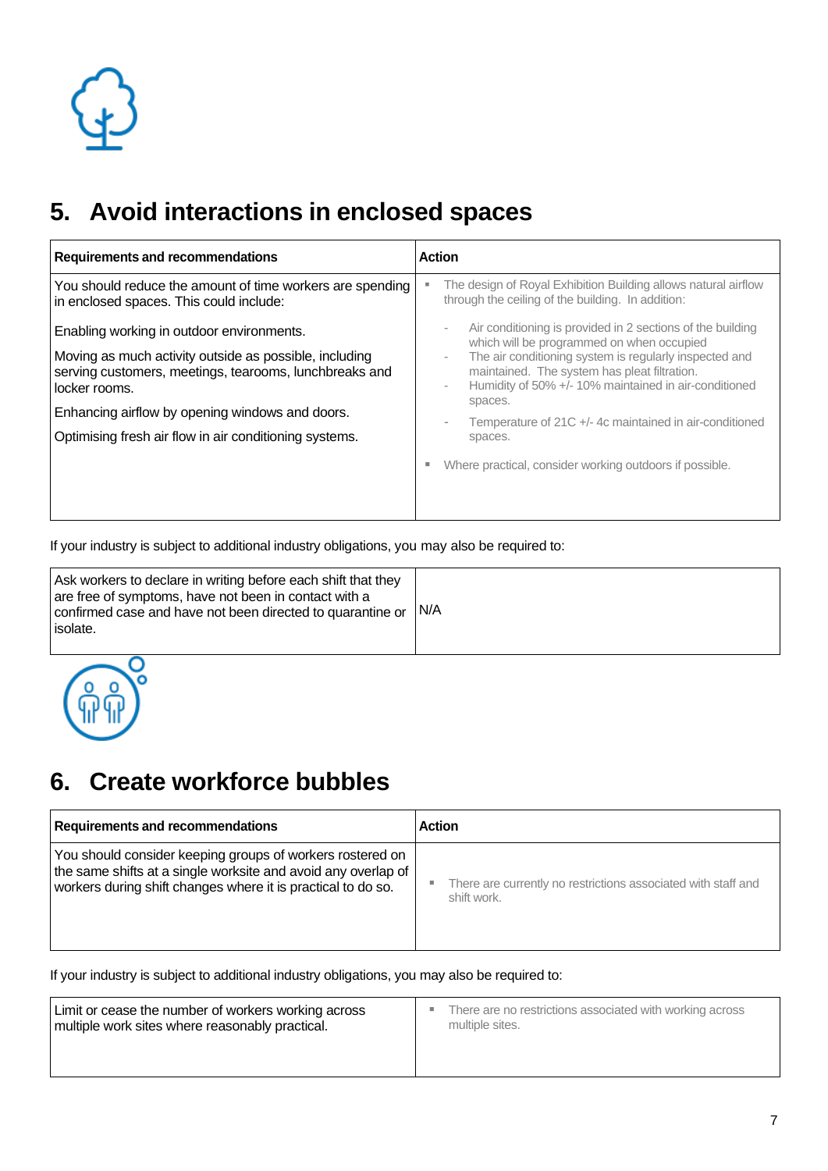## **5. Avoid interactions in enclosed spaces**

| <b>Requirements and recommendations</b>                                                                                                                                                                                                                                                     | <b>Action</b>                                                                                                                                                                                                                                                                                                                                                                                                                                                          |
|---------------------------------------------------------------------------------------------------------------------------------------------------------------------------------------------------------------------------------------------------------------------------------------------|------------------------------------------------------------------------------------------------------------------------------------------------------------------------------------------------------------------------------------------------------------------------------------------------------------------------------------------------------------------------------------------------------------------------------------------------------------------------|
| You should reduce the amount of time workers are spending<br>in enclosed spaces. This could include:                                                                                                                                                                                        | The design of Royal Exhibition Building allows natural airflow<br>through the ceiling of the building. In addition:                                                                                                                                                                                                                                                                                                                                                    |
| Enabling working in outdoor environments.<br>Moving as much activity outside as possible, including<br>serving customers, meetings, tearooms, lunchbreaks and<br>locker rooms.<br>Enhancing airflow by opening windows and doors.<br>Optimising fresh air flow in air conditioning systems. | Air conditioning is provided in 2 sections of the building<br>$\bar{ }$<br>which will be programmed on when occupied<br>The air conditioning system is regularly inspected and<br>٠<br>maintained. The system has pleat filtration.<br>Humidity of 50% +/- 10% maintained in air-conditioned<br>$\bar{ }$<br>spaces.<br>Temperature of 21C +/-4c maintained in air-conditioned<br>$\overline{a}$<br>spaces.<br>Where practical, consider working outdoors if possible. |
|                                                                                                                                                                                                                                                                                             |                                                                                                                                                                                                                                                                                                                                                                                                                                                                        |

If your industry is subject to additional industry obligations, you may also be required to:

| Ask workers to declare in writing before each shift that they<br>are free of symptoms, have not been in contact with a<br>confirmed case and have not been directed to quarantine or<br>isolate. | IN/A |
|--------------------------------------------------------------------------------------------------------------------------------------------------------------------------------------------------|------|
|                                                                                                                                                                                                  |      |



### **6. Create workforce bubbles**

| <b>Requirements and recommendations</b>                       | <b>Action</b>                                                 |
|---------------------------------------------------------------|---------------------------------------------------------------|
| You should consider keeping groups of workers rostered on     | There are currently no restrictions associated with staff and |
| the same shifts at a single worksite and avoid any overlap of | ш                                                             |
| workers during shift changes where it is practical to do so.  | shift work.                                                   |

If your industry is subject to additional industry obligations, you may also be required to:

| Limit or cease the number of workers working across<br>multiple work sites where reasonably practical. | There are no restrictions associated with working across<br>٠<br>multiple sites. |
|--------------------------------------------------------------------------------------------------------|----------------------------------------------------------------------------------|
|                                                                                                        |                                                                                  |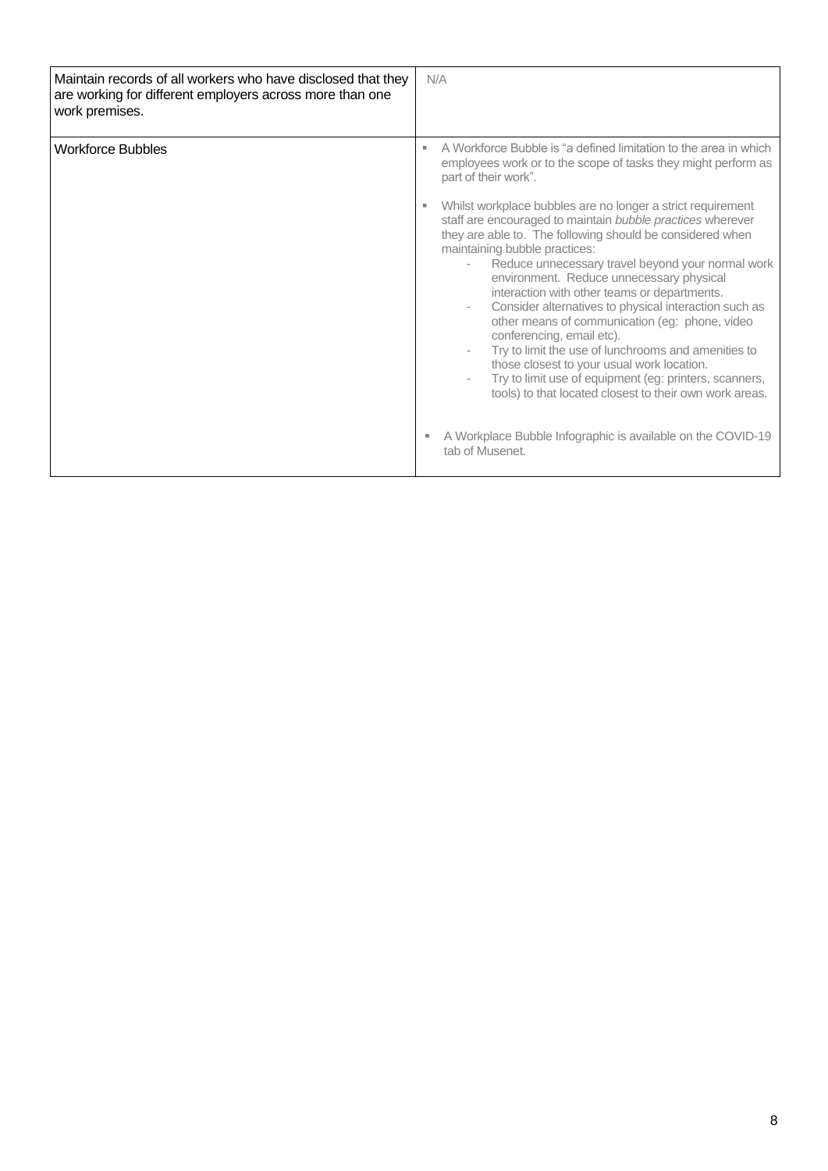| Maintain records of all workers who have disclosed that they<br>are working for different employers across more than one<br>work premises. | N/A                                                                                                                                                                                                                                                                                                                                                                                                                                                                                                                                                                                                                                                                         |
|--------------------------------------------------------------------------------------------------------------------------------------------|-----------------------------------------------------------------------------------------------------------------------------------------------------------------------------------------------------------------------------------------------------------------------------------------------------------------------------------------------------------------------------------------------------------------------------------------------------------------------------------------------------------------------------------------------------------------------------------------------------------------------------------------------------------------------------|
| <b>Workforce Bubbles</b>                                                                                                                   | A Workforce Bubble is "a defined limitation to the area in which<br>п.<br>employees work or to the scope of tasks they might perform as<br>part of their work".<br>Whilst workplace bubbles are no longer a strict requirement<br>ш                                                                                                                                                                                                                                                                                                                                                                                                                                         |
|                                                                                                                                            | staff are encouraged to maintain bubble practices wherever<br>they are able to. The following should be considered when<br>maintaining bubble practices:<br>Reduce unnecessary travel beyond your normal work<br>environment. Reduce unnecessary physical<br>interaction with other teams or departments.<br>Consider alternatives to physical interaction such as<br>other means of communication (eg: phone, video<br>conferencing, email etc).<br>Try to limit the use of lunchrooms and amenities to<br>those closest to your usual work location.<br>Try to limit use of equipment (eg: printers, scanners,<br>tools) to that located closest to their own work areas. |
|                                                                                                                                            | A Workplace Bubble Infographic is available on the COVID-19<br>tab of Musenet.                                                                                                                                                                                                                                                                                                                                                                                                                                                                                                                                                                                              |